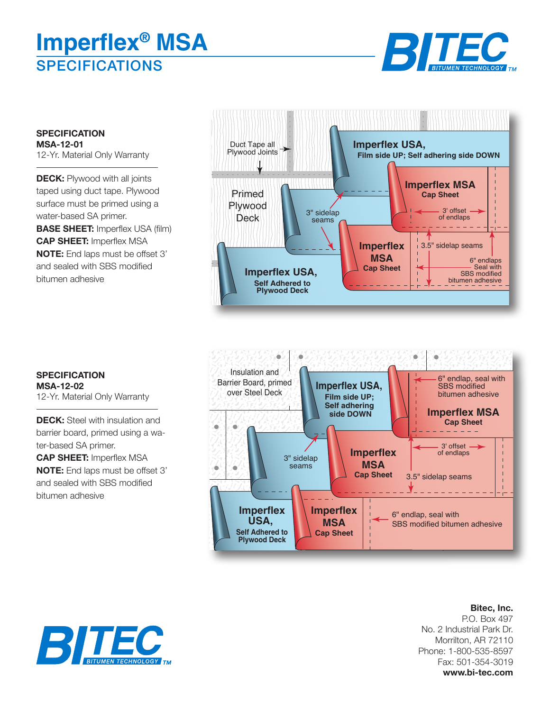# **SPECIFICATIONS Imperflex® MSA**



**SPECIFICATION MSA-12-01** 12-Yr. Material Only Warranty

**DECK:** Plywood with all joints taped using duct tape. Plywood surface must be primed using a water-based SA primer. **BASE SHEET:** Imperflex USA (film) **CAP SHEET:** Imperflex MSA **NOTE:** End laps must be offset 3' and sealed with SBS modified bitumen adhesive





**SPECIFICATION MSA-12-02** 12-Yr. Material Only Warranty

**DECK:** Steel with insulation and barrier board, primed using a water-based SA primer. **CAP SHEET:** Imperflex MSA

**NOTE:** End laps must be offset 3' and sealed with SBS modified bitumen adhesive

> **Bitec, Inc.** P.O. Box 497 No. 2 Industrial Park Dr. Morrilton, AR 72110 Phone: 1-800-535-8597 Fax: 501-354-3019 **www.bi-tec.com**

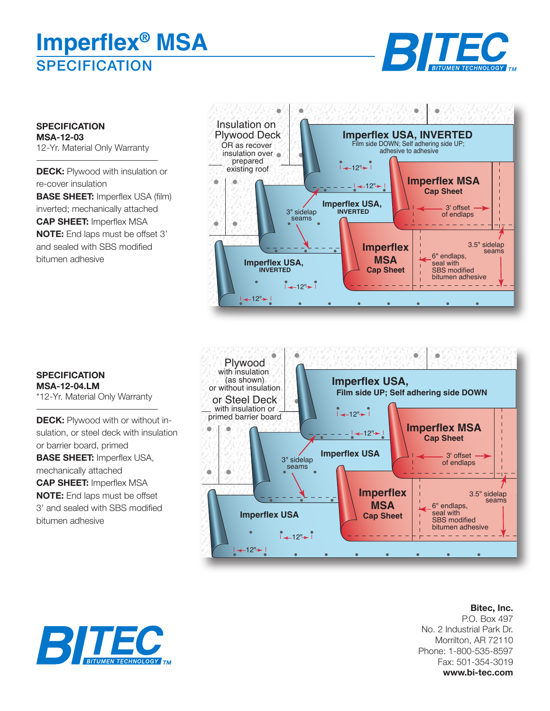# **SPECIFICATION Imperflex® MSA**



**SPECIFICATION MSA-12-03** 12-Yr. Material Only Warranty

**DECK:** Plywood with insulation or re-cover insulation **BASE SHEET:** Imperflex USA (film) inverted; mechanically attached **CAP SHEET:** Imperflex MSA **NOTE:** End laps must be offset 3' and sealed with SBS modified bitumen adhesive





#### **Bitec, Inc.** P.O. Box 497 No. 2 Industrial Park Dr. Morrilton, AR 72110 Phone: 1-800-535-8597 Fax: 501-354-3019 **www.bi-tec.com**

### **SPECIFICATION MSA-12-04.LM**

\*12-Yr. Material Only Warranty

**DECK:** Plywood with or without insulation, or steel deck with insulation or barrier board, primed **BASE SHEET:** Imperflex USA, mechanically attached **CAP SHEET:** Imperflex MSA **NOTE:** End laps must be offset 3' and sealed with SBS modified bitumen adhesive